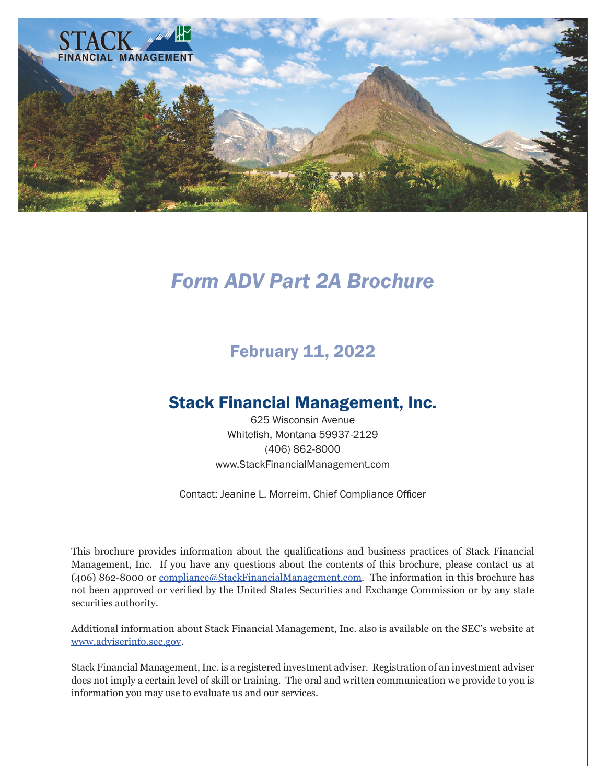<span id="page-0-0"></span>

# *Form ADV Part 2A Brochure*

## February 11, 2022

## Stack Financial Management, Inc.

625 Wisconsin Avenue Whitefish, Montana 59937-2129 (406) 862-8000 www.StackFinancialManagement.com

Contact: Jeanine L. Morreim, Chief Compliance Officer

This brochure provides information about the qualifications and business practices of Stack Financial Management, Inc. If you have any questions about the contents of this brochure, please contact us at (406) 862-8000 or [compliance@StackFinancialManagement.com](mailto:compliance%40StackFinancialManagement.com?subject=Stack%20Financial%20Management). The information in this brochure has not been approved or verified by the United States Securities and Exchange Commission or by any state securities authority.

Additional information about Stack Financial Management, Inc. also is available on the SEC's website at [www.adviserinfo.sec.gov](https://adviserinfo.sec.gov/).

Stack Financial Management, Inc. is a registered investment adviser. Registration of an investment adviser does not imply a certain level of skill or training. The oral and written communication we provide to you is information you may use to evaluate us and our services.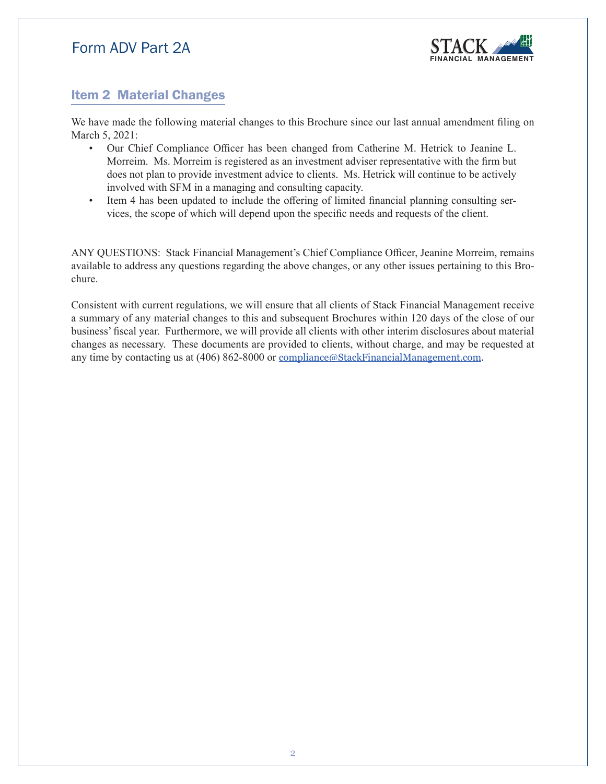

### <span id="page-1-0"></span>Item 2 Material Changes

We have made the following material changes to this Brochure since our last annual amendment filing on March 5, 2021:

- Our Chief Compliance Officer has been changed from Catherine M. Hetrick to Jeanine L. Morreim. Ms. Morreim is registered as an investment adviser representative with the firm but does not plan to provide investment advice to clients. Ms. Hetrick will continue to be actively involved with SFM in a managing and consulting capacity.
- Item 4 has been updated to include the offering of limited financial planning consulting services, the scope of which will depend upon the specific needs and requests of the client.

ANY QUESTIONS: Stack Financial Management's Chief Compliance Officer, Jeanine Morreim, remains available to address any questions regarding the above changes, or any other issues pertaining to this Brochure.

Consistent with current regulations, we will ensure that all clients of Stack Financial Management receive a summary of any material changes to this and subsequent Brochures within 120 days of the close of our business' fiscal year. Furthermore, we will provide all clients with other interim disclosures about material changes as necessary. These documents are provided to clients, without charge, and may be requested at any time by contacting us at (406) 862-8000 or [compliance@StackFinancialManagement.com](mailto:compliance%40StackFinancialManagement.com?subject=Stack%20Financial%20Management).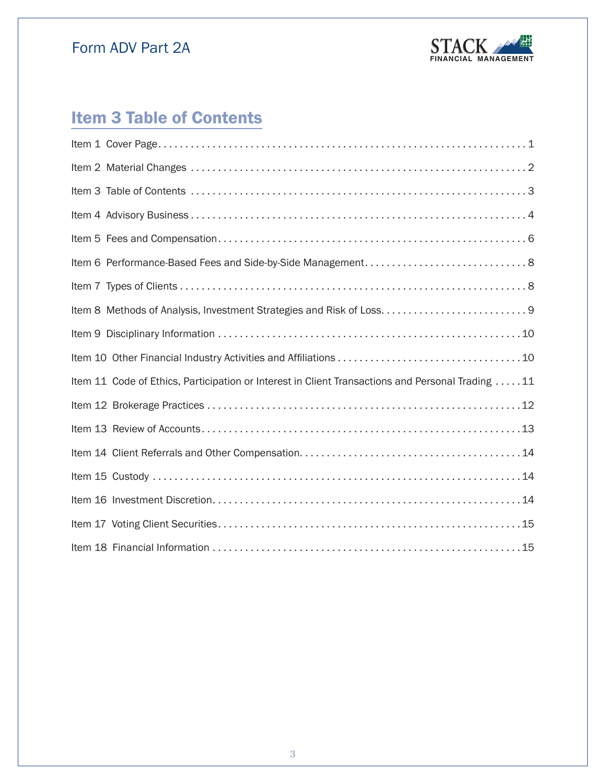

# **Item 3 Table of Contents**

| Item 11 Code of Ethics, Participation or Interest in Client Transactions and Personal Trading 11 |
|--------------------------------------------------------------------------------------------------|
|                                                                                                  |
|                                                                                                  |
|                                                                                                  |
|                                                                                                  |
|                                                                                                  |
|                                                                                                  |
|                                                                                                  |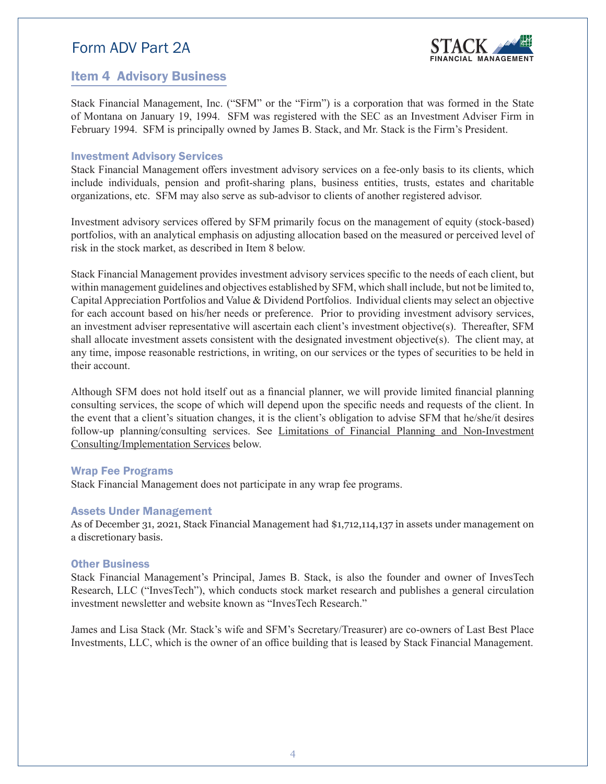

### <span id="page-3-0"></span>Item 4 Advisory Business

Stack Financial Management, Inc. ("SFM" or the "Firm") is a corporation that was formed in the State of Montana on January 19, 1994. SFM was registered with the SEC as an Investment Adviser Firm in February 1994. SFM is principally owned by James B. Stack, and Mr. Stack is the Firm's President.

#### Investment Advisory Services

Stack Financial Management offers investment advisory services on a fee-only basis to its clients, which include individuals, pension and profit-sharing plans, business entities, trusts, estates and charitable organizations, etc. SFM may also serve as sub-advisor to clients of another registered advisor.

Investment advisory services offered by SFM primarily focus on the management of equity (stock-based) portfolios, with an analytical emphasis on adjusting allocation based on the measured or perceived level of risk in the stock market, as described in Item 8 below.

Stack Financial Management provides investment advisory services specific to the needs of each client, but within management guidelines and objectives established by SFM, which shall include, but not be limited to, Capital Appreciation Portfolios and Value & Dividend Portfolios. Individual clients may select an objective for each account based on his/her needs or preference. Prior to providing investment advisory services, an investment adviser representative will ascertain each client's investment objective(s). Thereafter, SFM shall allocate investment assets consistent with the designated investment objective(s). The client may, at any time, impose reasonable restrictions, in writing, on our services or the types of securities to be held in their account.

Although SFM does not hold itself out as a financial planner, we will provide limited financial planning consulting services, the scope of which will depend upon the specific needs and requests of the client. In the event that a client's situation changes, it is the client's obligation to advise SFM that he/she/it desires follow-up planning/consulting services. See Limitations of Financial Planning and Non-Investment Consulting/Implementation Services below.

#### Wrap Fee Programs

Stack Financial Management does not participate in any wrap fee programs.

### Assets Under Management

As of December 31, 2021, Stack Financial Management had \$1,712,114,137 in assets under management on a discretionary basis.

#### **Other Business**

Stack Financial Management's Principal, James B. Stack, is also the founder and owner of InvesTech Research, LLC ("InvesTech"), which conducts stock market research and publishes a general circulation investment newsletter and website known as "InvesTech Research."

James and Lisa Stack (Mr. Stack's wife and SFM's Secretary/Treasurer) are co-owners of Last Best Place Investments, LLC, which is the owner of an office building that is leased by Stack Financial Management.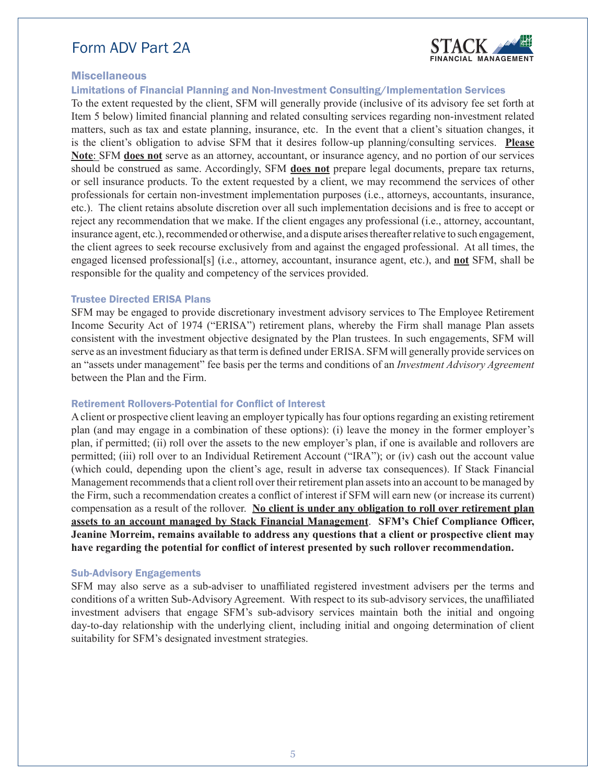

### Miscellaneous

Limitations of Financial Planning and Non-Investment Consulting/Implementation Services

To the extent requested by the client, SFM will generally provide (inclusive of its advisory fee set forth at Item 5 below) limited financial planning and related consulting services regarding non-investment related matters, such as tax and estate planning, insurance, etc. In the event that a client's situation changes, it is the client's obligation to advise SFM that it desires follow-up planning/consulting services. **Please Note**: SFM **does not** serve as an attorney, accountant, or insurance agency, and no portion of our services should be construed as same. Accordingly, SFM **does not** prepare legal documents, prepare tax returns, or sell insurance products. To the extent requested by a client, we may recommend the services of other professionals for certain non-investment implementation purposes (i.e., attorneys, accountants, insurance, etc.). The client retains absolute discretion over all such implementation decisions and is free to accept or reject any recommendation that we make. If the client engages any professional (i.e., attorney, accountant, insurance agent, etc.), recommended or otherwise, and a dispute arises thereafter relative to such engagement, the client agrees to seek recourse exclusively from and against the engaged professional. At all times, the engaged licensed professional[s] (i.e., attorney, accountant, insurance agent, etc.), and **not** SFM, shall be responsible for the quality and competency of the services provided.

#### Trustee Directed ERISA Plans

SFM may be engaged to provide discretionary investment advisory services to The Employee Retirement Income Security Act of 1974 ("ERISA") retirement plans, whereby the Firm shall manage Plan assets consistent with the investment objective designated by the Plan trustees. In such engagements, SFM will serve as an investment fiduciary as that term is defined under ERISA. SFM will generally provide services on an "assets under management" fee basis per the terms and conditions of an *Investment Advisory Agreement* between the Plan and the Firm.

#### Retirement Rollovers-Potential for Conflict of Interest

A client or prospective client leaving an employer typically has four options regarding an existing retirement plan (and may engage in a combination of these options): (i) leave the money in the former employer's plan, if permitted; (ii) roll over the assets to the new employer's plan, if one is available and rollovers are permitted; (iii) roll over to an Individual Retirement Account ("IRA"); or (iv) cash out the account value (which could, depending upon the client's age, result in adverse tax consequences). If Stack Financial Management recommends that a client roll over their retirement plan assets into an account to be managed by the Firm, such a recommendation creates a conflict of interest if SFM will earn new (or increase its current) compensation as a result of the rollover. **No client is under any obligation to roll over retirement plan assets to an account managed by Stack Financial Management**. **SFM's Chief Compliance Officer, Jeanine Morreim, remains available to address any questions that a client or prospective client may have regarding the potential for conflict of interest presented by such rollover recommendation.**

#### Sub-Advisory Engagements

SFM may also serve as a sub-adviser to unaffiliated registered investment advisers per the terms and conditions of a written Sub-Advisory Agreement. With respect to its sub-advisory services, the unaffiliated investment advisers that engage SFM's sub-advisory services maintain both the initial and ongoing day-to-day relationship with the underlying client, including initial and ongoing determination of client suitability for SFM's designated investment strategies.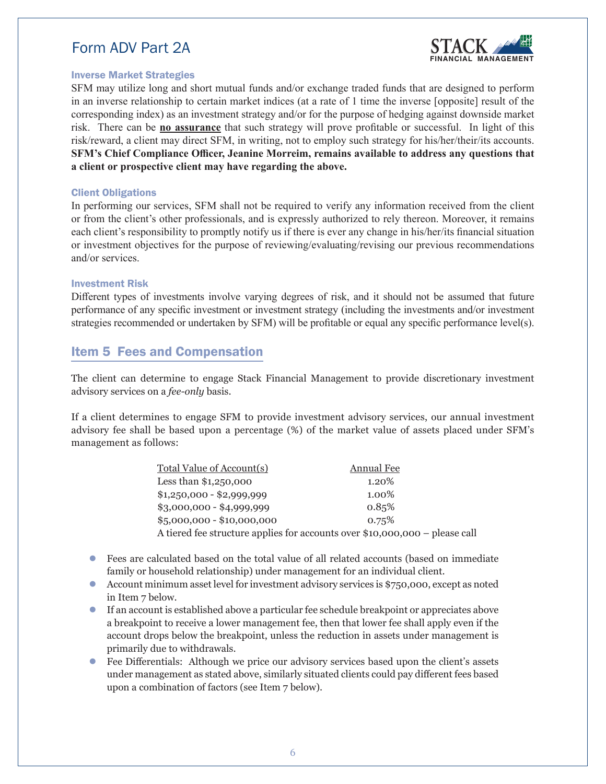

#### <span id="page-5-0"></span>Inverse Market Strategies

SFM may utilize long and short mutual funds and/or exchange traded funds that are designed to perform in an inverse relationship to certain market indices (at a rate of 1 time the inverse [opposite] result of the corresponding index) as an investment strategy and/or for the purpose of hedging against downside market risk. There can be **no assurance** that such strategy will prove profitable or successful. In light of this risk/reward, a client may direct SFM, in writing, not to employ such strategy for his/her/their/its accounts. **SFM's Chief Compliance Officer, Jeanine Morreim, remains available to address any questions that a client or prospective client may have regarding the above.**

#### Client Obligations

In performing our services, SFM shall not be required to verify any information received from the client or from the client's other professionals, and is expressly authorized to rely thereon. Moreover, it remains each client's responsibility to promptly notify us if there is ever any change in his/her/its financial situation or investment objectives for the purpose of reviewing/evaluating/revising our previous recommendations and/or services.

#### Investment Risk

Different types of investments involve varying degrees of risk, and it should not be assumed that future performance of any specific investment or investment strategy (including the investments and/or investment strategies recommended or undertaken by SFM) will be profitable or equal any specific performance level(s).

### Item 5 Fees and Compensation

The client can determine to engage Stack Financial Management to provide discretionary investment advisory services on a *fee-only* basis.

If a client determines to engage SFM to provide investment advisory services, our annual investment advisory fee shall be based upon a percentage (%) of the market value of assets placed under SFM's management as follows:

| Total Value of Account(s)                                                   | Annual Fee |  |
|-----------------------------------------------------------------------------|------------|--|
| Less than $$1,250,000$                                                      | 1.20%      |  |
| $$1,250,000 - $2,999,999$                                                   | 1.00%      |  |
| $$3,000,000 - $4,999,999$                                                   | 0.85%      |  |
| $$5,000,000 - $10,000,000$                                                  | $0.75\%$   |  |
| A tiered fee structure applies for accounts over \$10,000,000 – please call |            |  |

- Fees are calculated based on the total value of all related accounts (based on immediate family or household relationship) under management for an individual client.
- Account minimum asset level for investment advisory services is \$750,000, except as noted in Item 7 below.
- If an account is established above a particular fee schedule breakpoint or appreciates above a breakpoint to receive a lower management fee, then that lower fee shall apply even if the account drops below the breakpoint, unless the reduction in assets under management is primarily due to withdrawals.
- Fee Differentials: Although we price our advisory services based upon the client's assets under management as stated above, similarly situated clients could pay different fees based upon a combination of factors (see Item 7 below).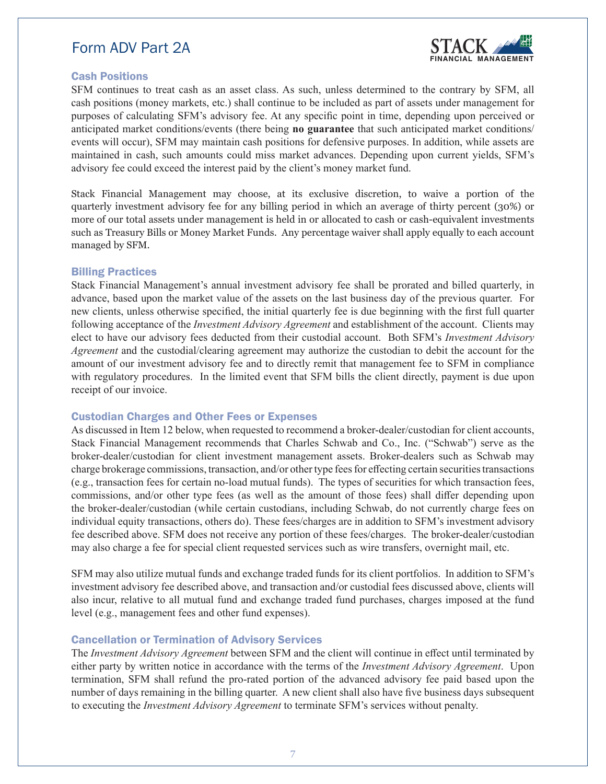

### Cash Positions

SFM continues to treat cash as an asset class. As such, unless determined to the contrary by SFM, all cash positions (money markets, etc.) shall continue to be included as part of assets under management for purposes of calculating SFM's advisory fee. At any specific point in time, depending upon perceived or anticipated market conditions/events (there being **no guarantee** that such anticipated market conditions/ events will occur), SFM may maintain cash positions for defensive purposes. In addition, while assets are maintained in cash, such amounts could miss market advances. Depending upon current yields, SFM's advisory fee could exceed the interest paid by the client's money market fund.

Stack Financial Management may choose, at its exclusive discretion, to waive a portion of the quarterly investment advisory fee for any billing period in which an average of thirty percent (30%) or more of our total assets under management is held in or allocated to cash or cash-equivalent investments such as Treasury Bills or Money Market Funds. Any percentage waiver shall apply equally to each account managed by SFM.

### Billing Practices

Stack Financial Management's annual investment advisory fee shall be prorated and billed quarterly, in advance, based upon the market value of the assets on the last business day of the previous quarter. For new clients, unless otherwise specified, the initial quarterly fee is due beginning with the first full quarter following acceptance of the *Investment Advisory Agreement* and establishment of the account. Clients may elect to have our advisory fees deducted from their custodial account. Both SFM's *Investment Advisory Agreement* and the custodial/clearing agreement may authorize the custodian to debit the account for the amount of our investment advisory fee and to directly remit that management fee to SFM in compliance with regulatory procedures. In the limited event that SFM bills the client directly, payment is due upon receipt of our invoice.

### Custodian Charges and Other Fees or Expenses

As discussed in Item 12 below, when requested to recommend a broker-dealer/custodian for client accounts, Stack Financial Management recommends that Charles Schwab and Co., Inc. ("Schwab") serve as the broker-dealer/custodian for client investment management assets. Broker-dealers such as Schwab may charge brokerage commissions, transaction, and/or other type fees for effecting certain securities transactions (e.g., transaction fees for certain no-load mutual funds). The types of securities for which transaction fees, commissions, and/or other type fees (as well as the amount of those fees) shall differ depending upon the broker-dealer/custodian (while certain custodians, including Schwab, do not currently charge fees on individual equity transactions, others do). These fees/charges are in addition to SFM's investment advisory fee described above. SFM does not receive any portion of these fees/charges. The broker-dealer/custodian may also charge a fee for special client requested services such as wire transfers, overnight mail, etc.

SFM may also utilize mutual funds and exchange traded funds for its client portfolios. In addition to SFM's investment advisory fee described above, and transaction and/or custodial fees discussed above, clients will also incur, relative to all mutual fund and exchange traded fund purchases, charges imposed at the fund level (e.g., management fees and other fund expenses).

### Cancellation or Termination of Advisory Services

The *Investment Advisory Agreement* between SFM and the client will continue in effect until terminated by either party by written notice in accordance with the terms of the *Investment Advisory Agreement*. Upon termination, SFM shall refund the pro-rated portion of the advanced advisory fee paid based upon the number of days remaining in the billing quarter. A new client shall also have five business days subsequent to executing the *Investment Advisory Agreement* to terminate SFM's services without penalty.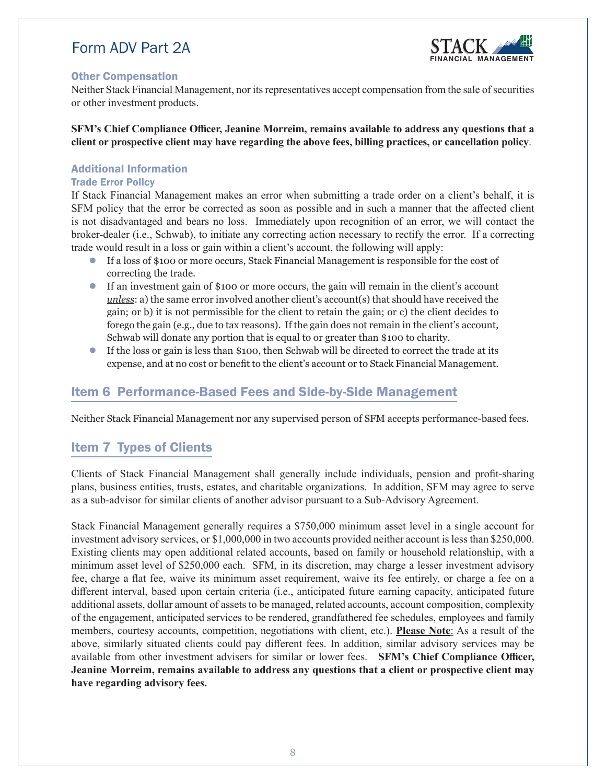

### <span id="page-7-0"></span>Other Compensation

Neither Stack Financial Management, nor its representatives accept compensation from the sale of securities or other investment products.

**SFM's Chief Compliance Officer, Jeanine Morreim, remains available to address any questions that a client or prospective client may have regarding the above fees, billing practices, or cancellation policy**.

### Additional Information

### Trade Error Policy

If Stack Financial Management makes an error when submitting a trade order on a client's behalf, it is SFM policy that the error be corrected as soon as possible and in such a manner that the affected client is not disadvantaged and bears no loss. Immediately upon recognition of an error, we will contact the broker-dealer (i.e., Schwab), to initiate any correcting action necessary to rectify the error. If a correcting trade would result in a loss or gain within a client's account, the following will apply:

- If a loss of \$100 or more occurs, Stack Financial Management is responsible for the cost of correcting the trade.
- If an investment gain of \$100 or more occurs, the gain will remain in the client's account *unless*: a) the same error involved another client's account(s) that should have received the gain; or b) it is not permissible for the client to retain the gain; or c) the client decides to forego the gain (e.g., due to tax reasons). If the gain does not remain in the client's account, Schwab will donate any portion that is equal to or greater than \$100 to charity.
- If the loss or gain is less than \$100, then Schwab will be directed to correct the trade at its expense, and at no cost or benefit to the client's account or to Stack Financial Management.

### Item 6 Performance-Based Fees and Side-by-Side Management

Neither Stack Financial Management nor any supervised person of SFM accepts performance-based fees.

### Item 7 Types of Clients

Clients of Stack Financial Management shall generally include individuals, pension and profit-sharing plans, business entities, trusts, estates, and charitable organizations. In addition, SFM may agree to serve as a sub-advisor for similar clients of another advisor pursuant to a Sub-Advisory Agreement.

Stack Financial Management generally requires a \$750,000 minimum asset level in a single account for investment advisory services, or \$1,000,000 in two accounts provided neither account is less than \$250,000. Existing clients may open additional related accounts, based on family or household relationship, with a minimum asset level of \$250,000 each. SFM, in its discretion, may charge a lesser investment advisory fee, charge a flat fee, waive its minimum asset requirement, waive its fee entirely, or charge a fee on a different interval, based upon certain criteria (i.e., anticipated future earning capacity, anticipated future additional assets, dollar amount of assets to be managed, related accounts, account composition, complexity of the engagement, anticipated services to be rendered, grandfathered fee schedules, employees and family members, courtesy accounts, competition, negotiations with client, etc.). **Please Note**: As a result of the above, similarly situated clients could pay different fees. In addition, similar advisory services may be available from other investment advisers for similar or lower fees. **SFM's Chief Compliance Officer, Jeanine Morreim, remains available to address any questions that a client or prospective client may have regarding advisory fees.**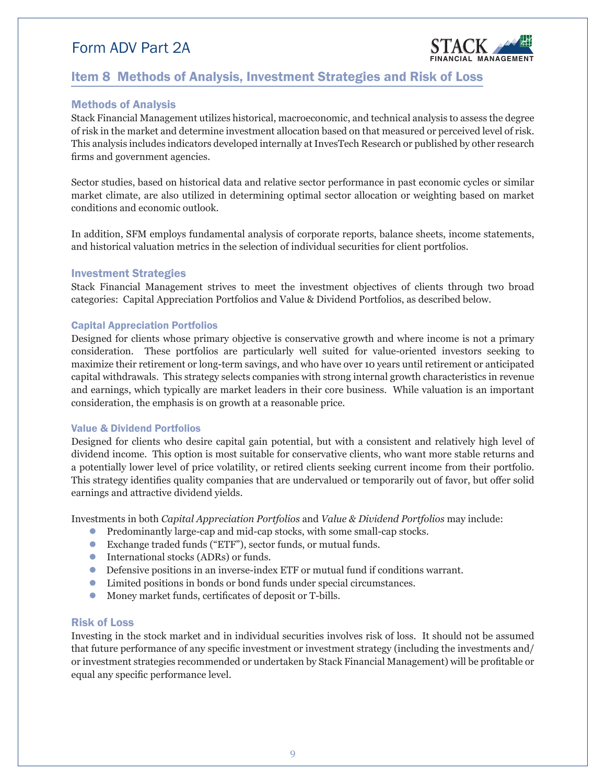

### <span id="page-8-0"></span>Item 8 Methods of Analysis, Investment Strategies and Risk of Loss

### Methods of Analysis

Stack Financial Management utilizes historical, macroeconomic, and technical analysis to assess the degree of risk in the market and determine investment allocation based on that measured or perceived level of risk. This analysis includes indicators developed internally at InvesTech Research or published by other research firms and government agencies.

Sector studies, based on historical data and relative sector performance in past economic cycles or similar market climate, are also utilized in determining optimal sector allocation or weighting based on market conditions and economic outlook.

In addition, SFM employs fundamental analysis of corporate reports, balance sheets, income statements, and historical valuation metrics in the selection of individual securities for client portfolios.

### Investment Strategies

Stack Financial Management strives to meet the investment objectives of clients through two broad categories: Capital Appreciation Portfolios and Value & Dividend Portfolios, as described below.

#### Capital Appreciation Portfolios

Designed for clients whose primary objective is conservative growth and where income is not a primary consideration. These portfolios are particularly well suited for value-oriented investors seeking to maximize their retirement or long-term savings, and who have over 10 years until retirement or anticipated capital withdrawals. This strategy selects companies with strong internal growth characteristics in revenue and earnings, which typically are market leaders in their core business. While valuation is an important consideration, the emphasis is on growth at a reasonable price.

#### Value & Dividend Portfolios

Designed for clients who desire capital gain potential, but with a consistent and relatively high level of dividend income. This option is most suitable for conservative clients, who want more stable returns and a potentially lower level of price volatility, or retired clients seeking current income from their portfolio. This strategy identifies quality companies that are undervalued or temporarily out of favor, but offer solid earnings and attractive dividend yields.

Investments in both *Capital Appreciation Portfolios* and *Value & Dividend Portfolios* may include:

- Predominantly large-cap and mid-cap stocks, with some small-cap stocks.
- Exchange traded funds ("ETF"), sector funds, or mutual funds.
- International stocks (ADRs) or funds.
- Defensive positions in an inverse-index ETF or mutual fund if conditions warrant.
- Limited positions in bonds or bond funds under special circumstances.
- Money market funds, certificates of deposit or T-bills.

#### Risk of Loss

Investing in the stock market and in individual securities involves risk of loss. It should not be assumed that future performance of any specific investment or investment strategy (including the investments and/ or investment strategies recommended or undertaken by Stack Financial Management) will be profitable or equal any specific performance level.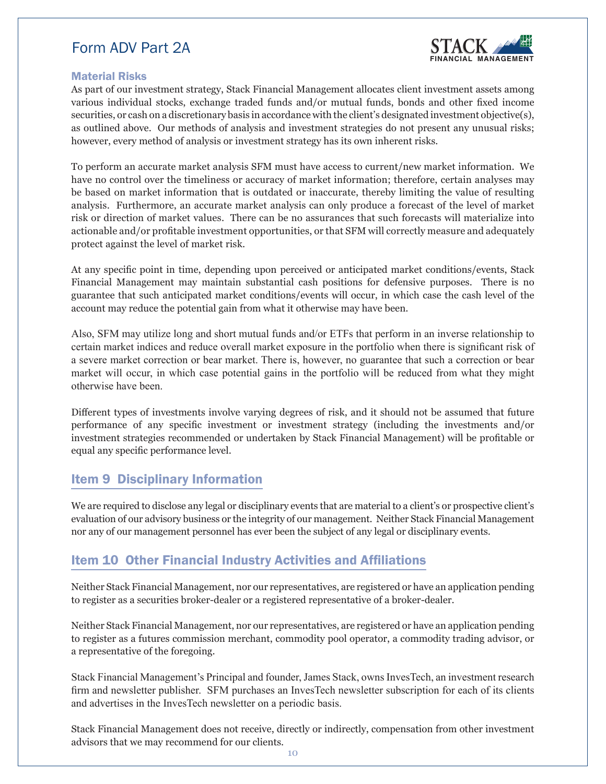

### <span id="page-9-0"></span>Material Risks

As part of our investment strategy, Stack Financial Management allocates client investment assets among various individual stocks, exchange traded funds and/or mutual funds, bonds and other fixed income securities, or cash on a discretionary basis in accordance with the client's designated investment objective(s), as outlined above. Our methods of analysis and investment strategies do not present any unusual risks; however, every method of analysis or investment strategy has its own inherent risks.

To perform an accurate market analysis SFM must have access to current/new market information. We have no control over the timeliness or accuracy of market information; therefore, certain analyses may be based on market information that is outdated or inaccurate, thereby limiting the value of resulting analysis. Furthermore, an accurate market analysis can only produce a forecast of the level of market risk or direction of market values. There can be no assurances that such forecasts will materialize into actionable and/or profitable investment opportunities, or that SFM will correctly measure and adequately protect against the level of market risk.

At any specific point in time, depending upon perceived or anticipated market conditions/events, Stack Financial Management may maintain substantial cash positions for defensive purposes. There is no guarantee that such anticipated market conditions/events will occur, in which case the cash level of the account may reduce the potential gain from what it otherwise may have been.

Also, SFM may utilize long and short mutual funds and/or ETFs that perform in an inverse relationship to certain market indices and reduce overall market exposure in the portfolio when there is significant risk of a severe market correction or bear market. There is, however, no guarantee that such a correction or bear market will occur, in which case potential gains in the portfolio will be reduced from what they might otherwise have been.

Different types of investments involve varying degrees of risk, and it should not be assumed that future performance of any specific investment or investment strategy (including the investments and/or investment strategies recommended or undertaken by Stack Financial Management) will be profitable or equal any specific performance level.

### Item 9 Disciplinary Information

We are required to disclose any legal or disciplinary events that are material to a client's or prospective client's evaluation of our advisory business or the integrity of our management. Neither Stack Financial Management nor any of our management personnel has ever been the subject of any legal or disciplinary events.

### Item 10 Other Financial Industry Activities and Affiliations

Neither Stack Financial Management, nor our representatives, are registered or have an application pending to register as a securities broker-dealer or a registered representative of a broker-dealer.

Neither Stack Financial Management, nor our representatives, are registered or have an application pending to register as a futures commission merchant, commodity pool operator, a commodity trading advisor, or a representative of the foregoing.

Stack Financial Management's Principal and founder, James Stack, owns InvesTech, an investment research firm and newsletter publisher. SFM purchases an InvesTech newsletter subscription for each of its clients and advertises in the InvesTech newsletter on a periodic basis.

Stack Financial Management does not receive, directly or indirectly, compensation from other investment advisors that we may recommend for our clients.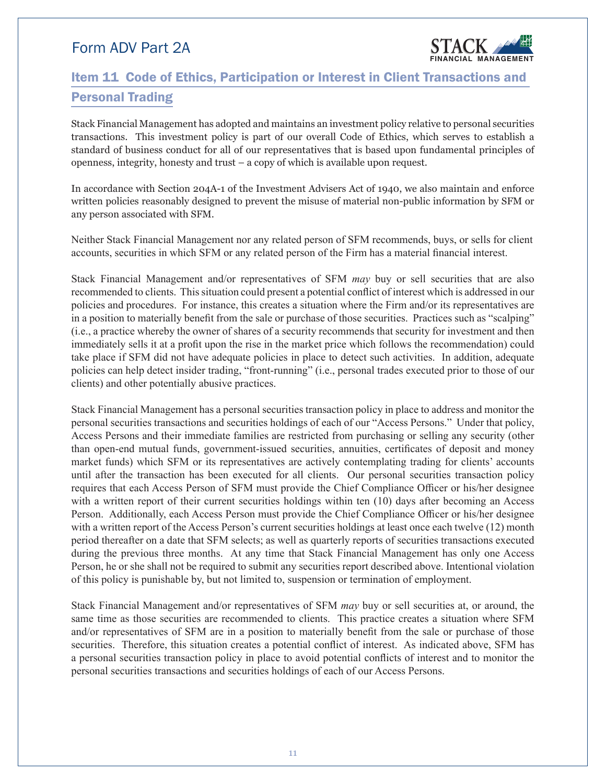

## <span id="page-10-0"></span>Item 11 Code of Ethics, Participation or Interest in Client Transactions and Personal Trading

Stack Financial Management has adopted and maintains an investment policy relative to personal securities transactions. This investment policy is part of our overall Code of Ethics, which serves to establish a standard of business conduct for all of our representatives that is based upon fundamental principles of openness, integrity, honesty and trust – a copy of which is available upon request.

In accordance with Section 204A-1 of the Investment Advisers Act of 1940, we also maintain and enforce written policies reasonably designed to prevent the misuse of material non-public information by SFM or any person associated with SFM.

Neither Stack Financial Management nor any related person of SFM recommends, buys, or sells for client accounts, securities in which SFM or any related person of the Firm has a material financial interest.

Stack Financial Management and/or representatives of SFM *may* buy or sell securities that are also recommended to clients. This situation could present a potential conflict of interest which is addressed in our policies and procedures. For instance, this creates a situation where the Firm and/or its representatives are in a position to materially benefit from the sale or purchase of those securities. Practices such as "scalping" (i.e., a practice whereby the owner of shares of a security recommends that security for investment and then immediately sells it at a profit upon the rise in the market price which follows the recommendation) could take place if SFM did not have adequate policies in place to detect such activities. In addition, adequate policies can help detect insider trading, "front-running" (i.e., personal trades executed prior to those of our clients) and other potentially abusive practices.

Stack Financial Management has a personal securities transaction policy in place to address and monitor the personal securities transactions and securities holdings of each of our "Access Persons." Under that policy, Access Persons and their immediate families are restricted from purchasing or selling any security (other than open-end mutual funds, government-issued securities, annuities, certificates of deposit and money market funds) which SFM or its representatives are actively contemplating trading for clients' accounts until after the transaction has been executed for all clients. Our personal securities transaction policy requires that each Access Person of SFM must provide the Chief Compliance Officer or his/her designee with a written report of their current securities holdings within ten (10) days after becoming an Access Person. Additionally, each Access Person must provide the Chief Compliance Officer or his/her designee with a written report of the Access Person's current securities holdings at least once each twelve (12) month period thereafter on a date that SFM selects; as well as quarterly reports of securities transactions executed during the previous three months. At any time that Stack Financial Management has only one Access Person, he or she shall not be required to submit any securities report described above. Intentional violation of this policy is punishable by, but not limited to, suspension or termination of employment.

Stack Financial Management and/or representatives of SFM *may* buy or sell securities at, or around, the same time as those securities are recommended to clients. This practice creates a situation where SFM and/or representatives of SFM are in a position to materially benefit from the sale or purchase of those securities. Therefore, this situation creates a potential conflict of interest. As indicated above, SFM has a personal securities transaction policy in place to avoid potential conflicts of interest and to monitor the personal securities transactions and securities holdings of each of our Access Persons.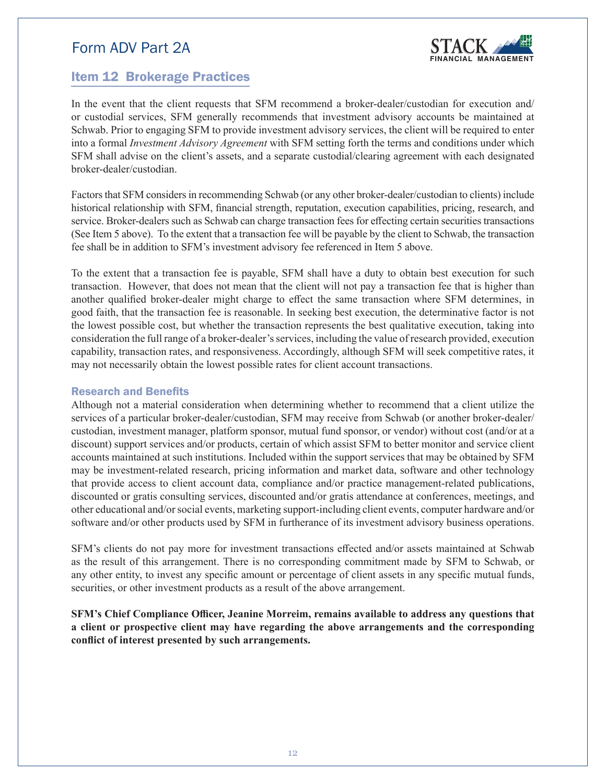

### <span id="page-11-0"></span>Item 12 Brokerage Practices

In the event that the client requests that SFM recommend a broker-dealer/custodian for execution and/ or custodial services, SFM generally recommends that investment advisory accounts be maintained at Schwab. Prior to engaging SFM to provide investment advisory services, the client will be required to enter into a formal *Investment Advisory Agreement* with SFM setting forth the terms and conditions under which SFM shall advise on the client's assets, and a separate custodial/clearing agreement with each designated broker-dealer/custodian.

Factors that SFM considers in recommending Schwab (or any other broker-dealer/custodian to clients) include historical relationship with SFM, financial strength, reputation, execution capabilities, pricing, research, and service. Broker-dealers such as Schwab can charge transaction fees for effecting certain securities transactions (See Item 5 above). To the extent that a transaction fee will be payable by the client to Schwab, the transaction fee shall be in addition to SFM's investment advisory fee referenced in Item 5 above.

To the extent that a transaction fee is payable, SFM shall have a duty to obtain best execution for such transaction. However, that does not mean that the client will not pay a transaction fee that is higher than another qualified broker-dealer might charge to effect the same transaction where SFM determines, in good faith, that the transaction fee is reasonable. In seeking best execution, the determinative factor is not the lowest possible cost, but whether the transaction represents the best qualitative execution, taking into consideration the full range of a broker-dealer's services, including the value of research provided, execution capability, transaction rates, and responsiveness. Accordingly, although SFM will seek competitive rates, it may not necessarily obtain the lowest possible rates for client account transactions.

#### Research and Benefits

Although not a material consideration when determining whether to recommend that a client utilize the services of a particular broker-dealer/custodian, SFM may receive from Schwab (or another broker-dealer/ custodian, investment manager, platform sponsor, mutual fund sponsor, or vendor) without cost (and/or at a discount) support services and/or products, certain of which assist SFM to better monitor and service client accounts maintained at such institutions. Included within the support services that may be obtained by SFM may be investment-related research, pricing information and market data, software and other technology that provide access to client account data, compliance and/or practice management-related publications, discounted or gratis consulting services, discounted and/or gratis attendance at conferences, meetings, and other educational and/or social events, marketing support-including client events, computer hardware and/or software and/or other products used by SFM in furtherance of its investment advisory business operations.

SFM's clients do not pay more for investment transactions effected and/or assets maintained at Schwab as the result of this arrangement. There is no corresponding commitment made by SFM to Schwab, or any other entity, to invest any specific amount or percentage of client assets in any specific mutual funds, securities, or other investment products as a result of the above arrangement.

**SFM's Chief Compliance Officer, Jeanine Morreim, remains available to address any questions that a client or prospective client may have regarding the above arrangements and the corresponding conflict of interest presented by such arrangements.**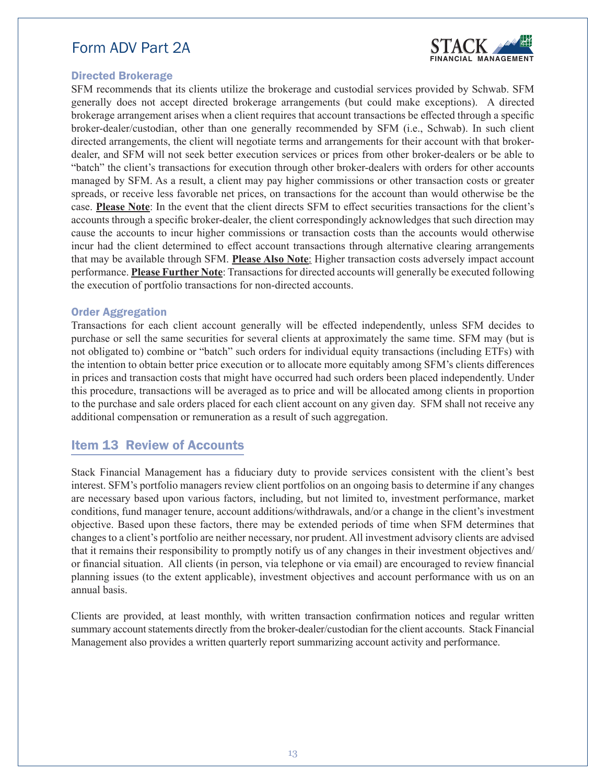

### <span id="page-12-0"></span>Directed Brokerage

SFM recommends that its clients utilize the brokerage and custodial services provided by Schwab. SFM generally does not accept directed brokerage arrangements (but could make exceptions). A directed brokerage arrangement arises when a client requires that account transactions be effected through a specific broker-dealer/custodian, other than one generally recommended by SFM (i.e., Schwab). In such client directed arrangements, the client will negotiate terms and arrangements for their account with that brokerdealer, and SFM will not seek better execution services or prices from other broker-dealers or be able to "batch" the client's transactions for execution through other broker-dealers with orders for other accounts managed by SFM. As a result, a client may pay higher commissions or other transaction costs or greater spreads, or receive less favorable net prices, on transactions for the account than would otherwise be the case. **Please Note**: In the event that the client directs SFM to effect securities transactions for the client's accounts through a specific broker-dealer, the client correspondingly acknowledges that such direction may cause the accounts to incur higher commissions or transaction costs than the accounts would otherwise incur had the client determined to effect account transactions through alternative clearing arrangements that may be available through SFM. **Please Also Note**: Higher transaction costs adversely impact account performance. **Please Further Note**: Transactions for directed accounts will generally be executed following the execution of portfolio transactions for non-directed accounts.

#### Order Aggregation

Transactions for each client account generally will be effected independently, unless SFM decides to purchase or sell the same securities for several clients at approximately the same time. SFM may (but is not obligated to) combine or "batch" such orders for individual equity transactions (including ETFs) with the intention to obtain better price execution or to allocate more equitably among SFM's clients differences in prices and transaction costs that might have occurred had such orders been placed independently. Under this procedure, transactions will be averaged as to price and will be allocated among clients in proportion to the purchase and sale orders placed for each client account on any given day. SFM shall not receive any additional compensation or remuneration as a result of such aggregation.

### Item 13 Review of Accounts

Stack Financial Management has a fiduciary duty to provide services consistent with the client's best interest. SFM's portfolio managers review client portfolios on an ongoing basis to determine if any changes are necessary based upon various factors, including, but not limited to, investment performance, market conditions, fund manager tenure, account additions/withdrawals, and/or a change in the client's investment objective. Based upon these factors, there may be extended periods of time when SFM determines that changes to a client's portfolio are neither necessary, nor prudent. All investment advisory clients are advised that it remains their responsibility to promptly notify us of any changes in their investment objectives and/ or financial situation. All clients (in person, via telephone or via email) are encouraged to review financial planning issues (to the extent applicable), investment objectives and account performance with us on an annual basis.

Clients are provided, at least monthly, with written transaction confirmation notices and regular written summary account statements directly from the broker-dealer/custodian for the client accounts. Stack Financial Management also provides a written quarterly report summarizing account activity and performance.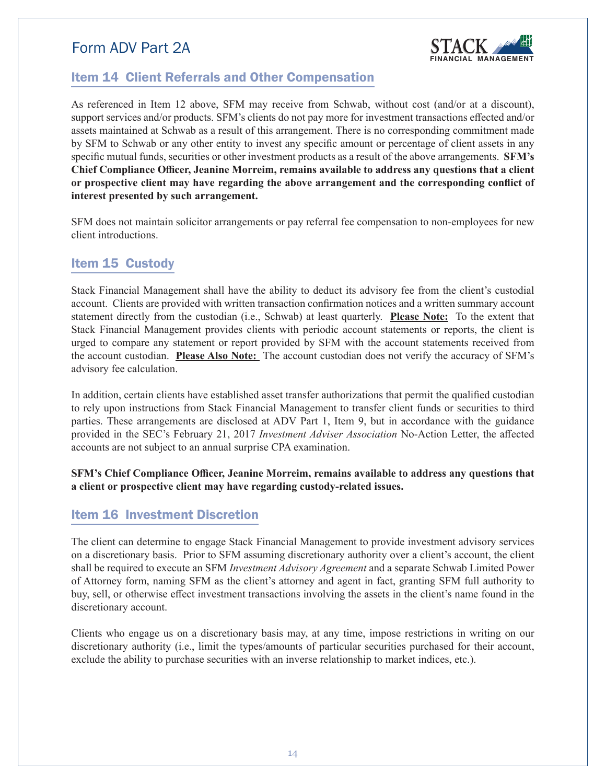

### <span id="page-13-0"></span>Item 14 Client Referrals and Other Compensation

As referenced in Item 12 above, SFM may receive from Schwab, without cost (and/or at a discount), support services and/or products. SFM's clients do not pay more for investment transactions effected and/or assets maintained at Schwab as a result of this arrangement. There is no corresponding commitment made by SFM to Schwab or any other entity to invest any specific amount or percentage of client assets in any specific mutual funds, securities or other investment products as a result of the above arrangements. **SFM's Chief Compliance Officer, Jeanine Morreim, remains available to address any questions that a client or prospective client may have regarding the above arrangement and the corresponding conflict of interest presented by such arrangement.** 

SFM does not maintain solicitor arrangements or pay referral fee compensation to non-employees for new client introductions.

### Item 15 Custody

Stack Financial Management shall have the ability to deduct its advisory fee from the client's custodial account. Clients are provided with written transaction confirmation notices and a written summary account statement directly from the custodian (i.e., Schwab) at least quarterly. **Please Note:** To the extent that Stack Financial Management provides clients with periodic account statements or reports, the client is urged to compare any statement or report provided by SFM with the account statements received from the account custodian. **Please Also Note:** The account custodian does not verify the accuracy of SFM's advisory fee calculation.

In addition, certain clients have established asset transfer authorizations that permit the qualified custodian to rely upon instructions from Stack Financial Management to transfer client funds or securities to third parties. These arrangements are disclosed at ADV Part 1, Item 9, but in accordance with the guidance provided in the SEC's February 21, 2017 *Investment Adviser Association* No-Action Letter, the affected accounts are not subject to an annual surprise CPA examination.

**SFM's Chief Compliance Officer, Jeanine Morreim, remains available to address any questions that a client or prospective client may have regarding custody-related issues.**

### Item 16 Investment Discretion

The client can determine to engage Stack Financial Management to provide investment advisory services on a discretionary basis. Prior to SFM assuming discretionary authority over a client's account, the client shall be required to execute an SFM *Investment Advisory Agreement* and a separate Schwab Limited Power of Attorney form, naming SFM as the client's attorney and agent in fact, granting SFM full authority to buy, sell, or otherwise effect investment transactions involving the assets in the client's name found in the discretionary account.

Clients who engage us on a discretionary basis may, at any time, impose restrictions in writing on our discretionary authority (i.e., limit the types/amounts of particular securities purchased for their account, exclude the ability to purchase securities with an inverse relationship to market indices, etc.).